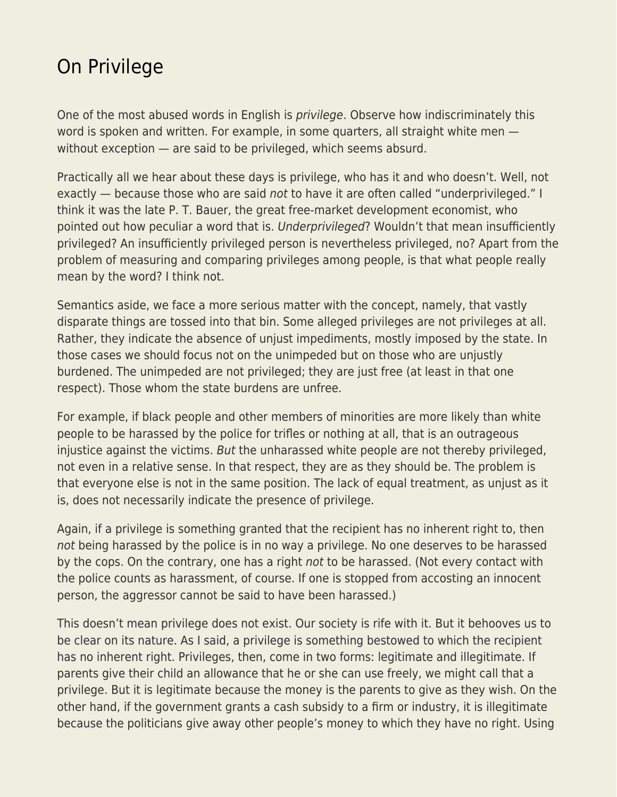## [On Privilege](https://everything-voluntary.com/on-privilege)

One of the most abused words in English is *privilege*. Observe how indiscriminately this word is spoken and written. For example, in some quarters, all straight white men without exception — are said to be privileged, which seems absurd.

Practically all we hear about these days is privilege, who has it and who doesn't. Well, not exactly — because those who are said not to have it are often called "underprivileged." I think it was the late P. T. Bauer, the great free-market development economist, who pointed out how peculiar a word that is. Underprivileged? Wouldn't that mean insufficiently privileged? An insufficiently privileged person is nevertheless privileged, no? Apart from the problem of measuring and comparing privileges among people, is that what people really mean by the word? I think not.

Semantics aside, we face a more serious matter with the concept, namely, that vastly disparate things are tossed into that bin. Some alleged privileges are not privileges at all. Rather, they indicate the absence of unjust impediments, mostly imposed by the state. In those cases we should focus not on the unimpeded but on those who are unjustly burdened. The unimpeded are not privileged; they are just free (at least in that one respect). Those whom the state burdens are unfree.

For example, if black people and other members of minorities are more likely than white people to be harassed by the police for trifles or nothing at all, that is an outrageous injustice against the victims. But the unharassed white people are not thereby privileged, not even in a relative sense. In that respect, they are as they should be. The problem is that everyone else is not in the same position. The lack of equal treatment, as unjust as it is, does not necessarily indicate the presence of privilege.

Again, if a privilege is something granted that the recipient has no inherent right to, then not being harassed by the police is in no way a privilege. No one deserves to be harassed by the cops. On the contrary, one has a right not to be harassed. (Not every contact with the police counts as harassment, of course. If one is stopped from accosting an innocent person, the aggressor cannot be said to have been harassed.)

This doesn't mean privilege does not exist. Our society is rife with it. But it behooves us to be clear on its nature. As I said, a privilege is something bestowed to which the recipient has no inherent right. Privileges, then, come in two forms: legitimate and illegitimate. If parents give their child an allowance that he or she can use freely, we might call that a privilege. But it is legitimate because the money is the parents to give as they wish. On the other hand, if the government grants a cash subsidy to a firm or industry, it is illegitimate because the politicians give away other people's money to which they have no right. Using